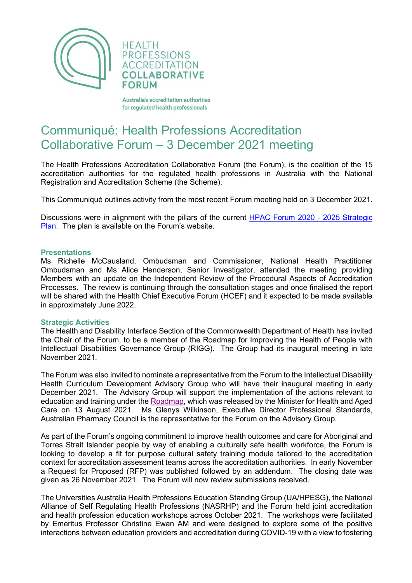

**HEALTH PROFESSIONS ACCREDITATION COLLABORATIVE FORUM** 

Australia's accreditation authorities for regulated health professionals

## Communiqué: Health Professions Accreditation Collaborative Forum – 3 December 2021 meeting

The Health Professions Accreditation Collaborative Forum (the Forum), is the coalition of the 15 accreditation authorities for the regulated health professions in Australia with the National Registration and Accreditation Scheme (the Scheme).

This Communiqué outlines activity from the most recent Forum meeting held on 3 December 2021.

Discussions were in alignment with the pillars of the current [HPAC Forum 2020 -](http://hpacf.org.au/about/) 2025 Strategic [Plan.](http://hpacf.org.au/about/) The plan is available on the Forum's website.

## **Presentations**

Ms Richelle McCausland, Ombudsman and Commissioner, National Health Practitioner Ombudsman and Ms Alice Henderson, Senior Investigator, attended the meeting providing Members with an update on the Independent Review of the Procedural Aspects of Accreditation Processes. The review is continuing through the consultation stages and once finalised the report will be shared with the Health Chief Executive Forum (HCEF) and it expected to be made available in approximately June 2022.

## **Strategic Activities**

The Health and Disability Interface Section of the Commonwealth Department of Health has invited the Chair of the Forum, to be a member of the Roadmap for Improving the Health of People with Intellectual Disabilities Governance Group (RIGG). The Group had its inaugural meeting in late November 2021.

The Forum was also invited to nominate a representative from the Forum to the Intellectual Disability Health Curriculum Development Advisory Group who will have their inaugural meeting in early December 2021. The Advisory Group will support the implementation of the actions relevant to education and training under th[e Roadmap,](https://www.health.gov.au/resources/publications/national-roadmap-for-improving-the-health-of-people-with-intellectual-disability) which was released by the Minister for Health and Aged Care on 13 August 2021. Ms Glenys Wilkinson, Executive Director Professional Standards, Australian Pharmacy Council is the representative for the Forum on the Advisory Group.

As part of the Forum's ongoing commitment to improve health outcomes and care for Aboriginal and Torres Strait Islander people by way of enabling a culturally safe health workforce, the Forum is looking to develop a fit for purpose cultural safety training module tailored to the accreditation context for accreditation assessment teams across the accreditation authorities. In early November a Request for Proposed (RFP) was published followed by an addendum. The closing date was given as 26 November 2021. The Forum will now review submissions received.

The Universities Australia Health Professions Education Standing Group (UA/HPESG), the National Alliance of Self Regulating Health Professions (NASRHP) and the Forum held joint accreditation and health profession education workshops across October 2021. The workshops were facilitated by Emeritus Professor Christine Ewan AM and were designed to explore some of the positive interactions between education providers and accreditation during COVID-19 with a view to fostering